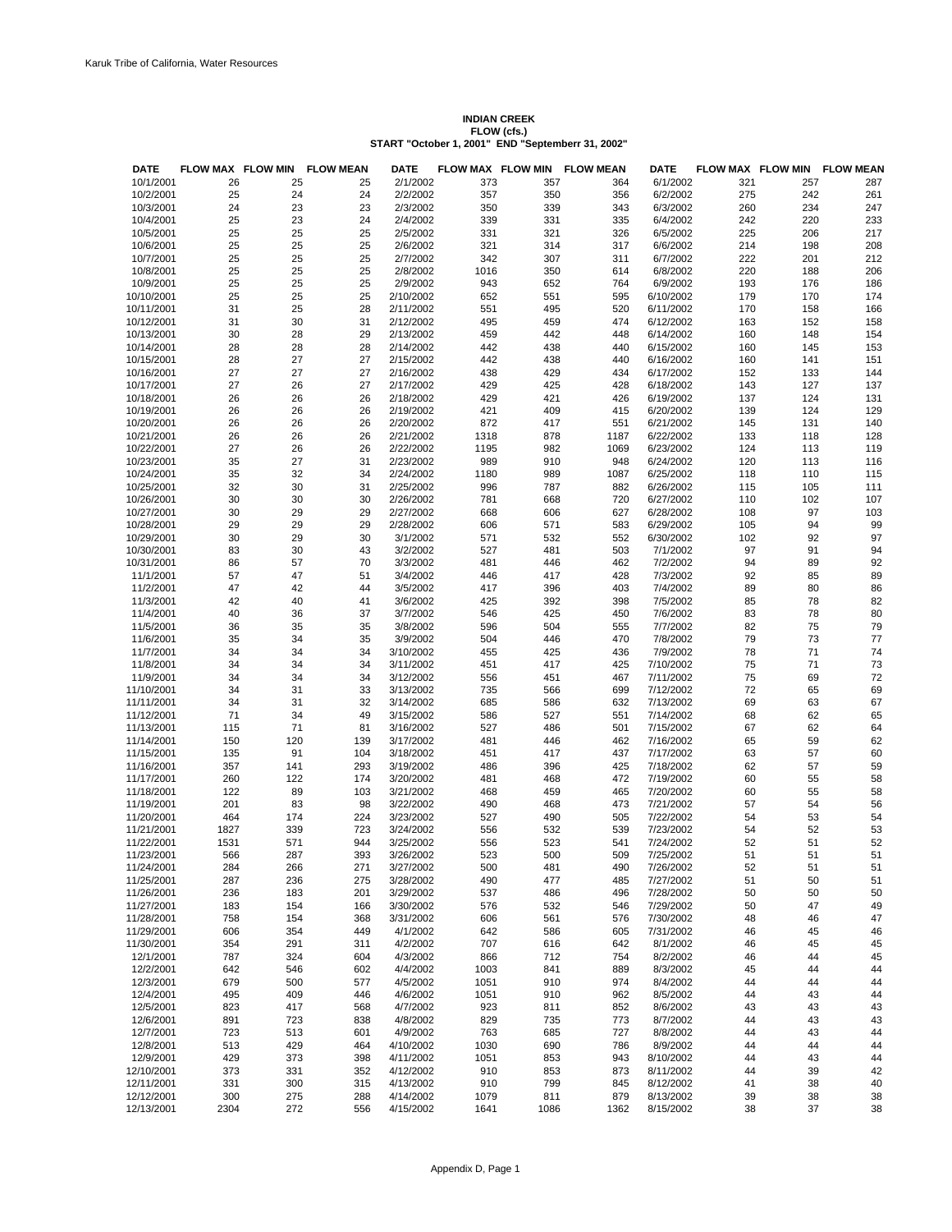## **INDIAN CREEK FLOW (cfs.) START "October 1, 2001" END "Septemberr 31, 2002"**

| <b>DATE</b>              | FLOW MAX FLOW MIN |            | <b>FLOW MEAN</b> | DATE                   |              | FLOW MAX FLOW MIN | <b>FLOW MEAN</b> | <b>DATE</b>            |            |            | FLOW MAX FLOW MIN FLOW MEAN |
|--------------------------|-------------------|------------|------------------|------------------------|--------------|-------------------|------------------|------------------------|------------|------------|-----------------------------|
| 10/1/2001                | 26                | 25         | 25               | 2/1/2002               | 373          | 357               | 364              | 6/1/2002               | 321        | 257        | 287                         |
| 10/2/2001                | 25                | 24         | 24               | 2/2/2002               | 357          | 350               | 356              | 6/2/2002               | 275        | 242        | 261                         |
| 10/3/2001                | 24                | 23         | 23               | 2/3/2002               | 350          | 339               | 343              | 6/3/2002               | 260        | 234        | 247                         |
| 10/4/2001                | 25                | 23         | 24               | 2/4/2002               | 339          | 331               | 335              | 6/4/2002               | 242        | 220        | 233                         |
| 10/5/2001                | 25                | 25         | 25               | 2/5/2002               | 331          | 321               | 326              | 6/5/2002               | 225        | 206        | 217                         |
| 10/6/2001                | 25                | 25         | 25               | 2/6/2002               | 321          | 314               | 317              | 6/6/2002               | 214        | 198        | 208                         |
| 10/7/2001                | 25                | 25         | 25               | 2/7/2002               | 342          | 307               | 311              | 6/7/2002               | 222        | 201        | 212                         |
| 10/8/2001                | 25                | 25         | 25               | 2/8/2002               | 1016         | 350               | 614              | 6/8/2002               | 220        | 188        | 206                         |
| 10/9/2001                | 25                | 25         | 25               | 2/9/2002<br>2/10/2002  | 943          | 652               | 764<br>595       | 6/9/2002               | 193        | 176<br>170 | 186<br>174                  |
| 10/10/2001<br>10/11/2001 | 25<br>31          | 25<br>25   | 25<br>28         | 2/11/2002              | 652<br>551   | 551<br>495        | 520              | 6/10/2002<br>6/11/2002 | 179<br>170 | 158        | 166                         |
| 10/12/2001               | 31                | 30         | 31               | 2/12/2002              | 495          | 459               | 474              | 6/12/2002              | 163        | 152        | 158                         |
| 10/13/2001               | 30                | 28         | 29               | 2/13/2002              | 459          | 442               | 448              | 6/14/2002              | 160        | 148        | 154                         |
| 10/14/2001               | 28                | 28         | 28               | 2/14/2002              | 442          | 438               | 440              | 6/15/2002              | 160        | 145        | 153                         |
| 10/15/2001               | 28                | 27         | 27               | 2/15/2002              | 442          | 438               | 440              | 6/16/2002              | 160        | 141        | 151                         |
| 10/16/2001               | 27                | 27         | 27               | 2/16/2002              | 438          | 429               | 434              | 6/17/2002              | 152        | 133        | 144                         |
| 10/17/2001               | 27                | 26         | 27               | 2/17/2002              | 429          | 425               | 428              | 6/18/2002              | 143        | 127        | 137                         |
| 10/18/2001               | 26                | 26         | 26               | 2/18/2002              | 429          | 421               | 426              | 6/19/2002              | 137        | 124        | 131                         |
| 10/19/2001               | 26                | 26         | 26               | 2/19/2002              | 421          | 409               | 415              | 6/20/2002              | 139        | 124        | 129                         |
| 10/20/2001               | 26                | 26         | 26               | 2/20/2002              | 872          | 417               | 551              | 6/21/2002              | 145        | 131        | 140                         |
| 10/21/2001               | 26                | 26         | 26               | 2/21/2002              | 1318         | 878               | 1187             | 6/22/2002              | 133        | 118        | 128                         |
| 10/22/2001               | 27                | 26         | 26               | 2/22/2002              | 1195         | 982               | 1069             | 6/23/2002              | 124        | 113        | 119                         |
| 10/23/2001               | 35                | 27         | 31               | 2/23/2002              | 989          | 910               | 948              | 6/24/2002<br>6/25/2002 | 120        | 113        | 116                         |
| 10/24/2001<br>10/25/2001 | 35<br>32          | 32<br>30   | 34<br>31         | 2/24/2002<br>2/25/2002 | 1180<br>996  | 989<br>787        | 1087<br>882      | 6/26/2002              | 118<br>115 | 110<br>105 | 115<br>111                  |
| 10/26/2001               | 30                | 30         | 30               | 2/26/2002              | 781          | 668               | 720              | 6/27/2002              | 110        | 102        | 107                         |
| 10/27/2001               | 30                | 29         | 29               | 2/27/2002              | 668          | 606               | 627              | 6/28/2002              | 108        | 97         | 103                         |
| 10/28/2001               | 29                | 29         | 29               | 2/28/2002              | 606          | 571               | 583              | 6/29/2002              | 105        | 94         | 99                          |
| 10/29/2001               | 30                | 29         | 30               | 3/1/2002               | 571          | 532               | 552              | 6/30/2002              | 102        | 92         | 97                          |
| 10/30/2001               | 83                | 30         | 43               | 3/2/2002               | 527          | 481               | 503              | 7/1/2002               | 97         | 91         | 94                          |
| 10/31/2001               | 86                | 57         | 70               | 3/3/2002               | 481          | 446               | 462              | 7/2/2002               | 94         | 89         | 92                          |
| 11/1/2001                | 57                | 47         | 51               | 3/4/2002               | 446          | 417               | 428              | 7/3/2002               | 92         | 85         | 89                          |
| 11/2/2001                | 47                | 42         | 44               | 3/5/2002               | 417          | 396               | 403              | 7/4/2002               | 89         | 80         | 86                          |
| 11/3/2001                | 42                | 40         | 41               | 3/6/2002               | 425          | 392               | 398              | 7/5/2002               | 85         | 78         | 82                          |
| 11/4/2001                | 40                | 36         | 37               | 3/7/2002               | 546          | 425               | 450              | 7/6/2002               | 83         | 78         | 80                          |
| 11/5/2001                | 36                | 35         | 35               | 3/8/2002               | 596          | 504               | 555              | 7/7/2002               | 82         | 75         | 79                          |
| 11/6/2001                | 35                | 34         | 35               | 3/9/2002               | 504          | 446               | 470              | 7/8/2002               | 79         | 73         | 77                          |
| 11/7/2001<br>11/8/2001   | 34<br>34          | 34<br>34   | 34<br>34         | 3/10/2002<br>3/11/2002 | 455<br>451   | 425<br>417        | 436<br>425       | 7/9/2002<br>7/10/2002  | 78<br>75   | 71<br>71   | 74<br>73                    |
| 11/9/2001                | 34                | 34         | 34               | 3/12/2002              | 556          | 451               | 467              | 7/11/2002              | 75         | 69         | 72                          |
| 11/10/2001               | 34                | 31         | 33               | 3/13/2002              | 735          | 566               | 699              | 7/12/2002              | 72         | 65         | 69                          |
| 11/11/2001               | 34                | 31         | 32               | 3/14/2002              | 685          | 586               | 632              | 7/13/2002              | 69         | 63         | 67                          |
| 11/12/2001               | 71                | 34         | 49               | 3/15/2002              | 586          | 527               | 551              | 7/14/2002              | 68         | 62         | 65                          |
| 11/13/2001               | 115               | 71         | 81               | 3/16/2002              | 527          | 486               | 501              | 7/15/2002              | 67         | 62         | 64                          |
| 11/14/2001               | 150               | 120        | 139              | 3/17/2002              | 481          | 446               | 462              | 7/16/2002              | 65         | 59         | 62                          |
| 11/15/2001               | 135               | 91         | 104              | 3/18/2002              | 451          | 417               | 437              | 7/17/2002              | 63         | 57         | 60                          |
| 11/16/2001               | 357               | 141        | 293              | 3/19/2002              | 486          | 396               | 425              | 7/18/2002              | 62         | 57         | 59                          |
| 11/17/2001               | 260               | 122        | 174              | 3/20/2002              | 481          | 468               | 472              | 7/19/2002              | 60         | 55         | 58                          |
| 11/18/2001               | 122               | 89         | 103              | 3/21/2002              | 468          | 459               | 465              | 7/20/2002              | 60         | 55         | 58                          |
| 11/19/2001<br>11/20/2001 | 201<br>464        | 83<br>174  | 98<br>224        | 3/22/2002<br>3/23/2002 | 490<br>527   | 468<br>490        | 473<br>505       | 7/21/2002<br>7/22/2002 | 57<br>54   | 54<br>53   | 56<br>54                    |
| 11/21/2001               | 1827              | 339        | 723              | 3/24/2002              | 556          | 532               | 539              | 7/23/2002              | 54         | 52         | 53                          |
| 11/22/2001               | 1531              | 571        | 944              | 3/25/2002              | 556          | 523               | 541              | 7/24/2002              | 52         | 51         | 52                          |
| 11/23/2001               | 566               | 287        | 393              | 3/26/2002              | 523          | 500               | 509              | 7/25/2002              | 51         | 51         | 51                          |
| 11/24/2001               | 284               | 266        | 271              | 3/27/2002              | 500          | 481               | 490              | 7/26/2002              | 52         | 51         | 51                          |
| 11/25/2001               | 287               | 236        | 275              | 3/28/2002              | 490          | 477               | 485              | 7/27/2002              | 51         | 50         | 51                          |
| 11/26/2001               | 236               | 183        | 201              | 3/29/2002              | 537          | 486               | 496              | 7/28/2002              | 50         | 50         | 50                          |
| 11/27/2001               | 183               | 154        | 166              | 3/30/2002              | 576          | 532               | 546              | 7/29/2002              | 50         | 47         | 49                          |
| 11/28/2001               | 758               | 154        | 368              | 3/31/2002              | 606          | 561               | 576              | 7/30/2002              | 48         | 46         | 47                          |
| 11/29/2001               | 606               | 354        | 449              | 4/1/2002               | 642          | 586               | 605              | 7/31/2002              | 46         | 45         | 46                          |
| 11/30/2001               | 354               | 291        | 311              | 4/2/2002               | 707          | 616               | 642              | 8/1/2002               | 46         | 45         | 45                          |
| 12/1/2001<br>12/2/2001   | 787<br>642        | 324<br>546 | 604<br>602       | 4/3/2002<br>4/4/2002   | 866          | 712<br>841        | 754<br>889       | 8/2/2002<br>8/3/2002   | 46         | 44<br>44   | 45<br>44                    |
| 12/3/2001                | 679               | 500        | 577              | 4/5/2002               | 1003<br>1051 | 910               | 974              | 8/4/2002               | 45<br>44   | 44         | 44                          |
| 12/4/2001                | 495               | 409        | 446              | 4/6/2002               | 1051         | 910               | 962              | 8/5/2002               | 44         | 43         | 44                          |
| 12/5/2001                | 823               | 417        | 568              | 4/7/2002               | 923          | 811               | 852              | 8/6/2002               | 43         | 43         | 43                          |
| 12/6/2001                | 891               | 723        | 838              | 4/8/2002               | 829          | 735               | 773              | 8/7/2002               | 44         | 43         | 43                          |
| 12/7/2001                | 723               | 513        | 601              | 4/9/2002               | 763          | 685               | 727              | 8/8/2002               | 44         | 43         | 44                          |
| 12/8/2001                | 513               | 429        | 464              | 4/10/2002              | 1030         | 690               | 786              | 8/9/2002               | 44         | 44         | 44                          |
| 12/9/2001                | 429               | 373        | 398              | 4/11/2002              | 1051         | 853               | 943              | 8/10/2002              | 44         | 43         | 44                          |
| 12/10/2001               | 373               | 331        | 352              | 4/12/2002              | 910          | 853               | 873              | 8/11/2002              | 44         | 39         | 42                          |
| 12/11/2001               | 331               | 300        | 315              | 4/13/2002              | 910          | 799               | 845              | 8/12/2002              | 41         | 38         | 40                          |
| 12/12/2001               | 300               | 275        | 288              | 4/14/2002              | 1079         | 811               | 879              | 8/13/2002              | 39         | 38         | 38                          |
| 12/13/2001               | 2304              | 272        | 556              | 4/15/2002              | 1641         | 1086              | 1362             | 8/15/2002              | 38         | 37         | 38                          |